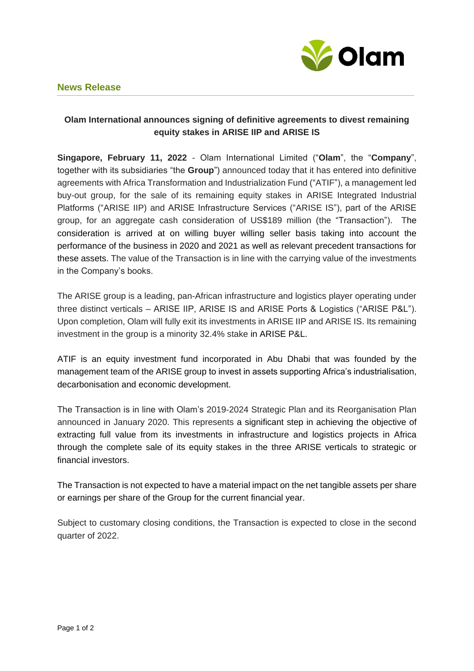

## **News Release**

## **Olam International announces signing of definitive agreements to divest remaining equity stakes in ARISE IIP and ARISE IS**

**Singapore, February 11, 2022** - Olam International Limited ("**Olam**", the "**Company**", together with its subsidiaries "the **Group**") announced today that it has entered into definitive agreements with Africa Transformation and Industrialization Fund ("ATIF"), a management led buy-out group, for the sale of its remaining equity stakes in ARISE Integrated Industrial Platforms ("ARISE IIP) and ARISE Infrastructure Services ("ARISE IS"), part of the ARISE group, for an aggregate cash consideration of US\$189 million (the "Transaction"). The consideration is arrived at on willing buyer willing seller basis taking into account the performance of the business in 2020 and 2021 as well as relevant precedent transactions for these assets. The value of the Transaction is in line with the carrying value of the investments in the Company's books.

The ARISE group is a leading, pan-African infrastructure and logistics player operating under three distinct verticals – ARISE IIP, ARISE IS and ARISE Ports & Logistics ("ARISE P&L"). Upon completion, Olam will fully exit its investments in ARISE IIP and ARISE IS. Its remaining investment in the group is a minority 32.4% stake in ARISE P&L.

ATIF is an equity investment fund incorporated in Abu Dhabi that was founded by the management team of the ARISE group to invest in assets supporting Africa's industrialisation, decarbonisation and economic development.

The Transaction is in line with Olam's 2019-2024 Strategic Plan and its Reorganisation Plan announced in January 2020. This represents a significant step in achieving the objective of extracting full value from its investments in infrastructure and logistics projects in Africa through the complete sale of its equity stakes in the three ARISE verticals to strategic or financial investors.

The Transaction is not expected to have a material impact on the net tangible assets per share or earnings per share of the Group for the current financial year.

Subject to customary closing conditions, the Transaction is expected to close in the second quarter of 2022.